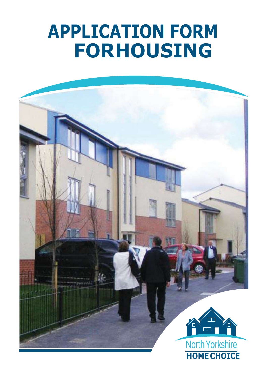# **APPLICATION FORM FORHOUSING**

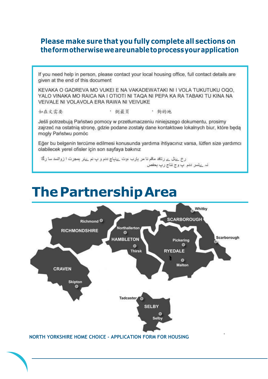#### **Please make sure that you fully complete all sections on theformotherwiseweareunabletoprocessyourapplication**

If you need help in person, please contact your local housing office, full contact details are given at the end of this document

KEVAKA O GADREVA MO VUKEI E NA VAKADEWATAKI NI I VOLA TUKUTUKU OQO. YALO VINAKA MO RAICA NA I OTIOTI NI TAQA NI PEPA KA RA TABAKI TU KINA NA VEIVALE NI VOLAVOLA ERA RAWA NI VEIVUKE

如在文需要

' 倒最真 , 夠的地

Jeśli potrzebują Państwo pomocy w przetłumaczeniu niniejszego dokumentu, prosimy zajrzeć na ostatnia strone, gdzie podane zostały dane kontaktowe lokalnych biur, które beda mogły Państwu pomóc

Eğer bu belgenin tercüme edilmesi konusunda yardıma ihtiyacınız varsa, lütfen size yardımcı olabilecek yerel ofisler için son sayfaya bakınız

رخ بےلل بے رتاقد ماقم نا مر بارب ،وت بےنباچ ددم و پ نم بےلر بمجرت ا زواتسد سا رگا نہ ےتسر ددم پ وج نثاج رپ بحفص

# **ThePartnershipArea**

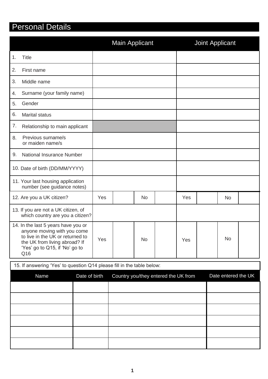### Personal Details

|                                                                                                                                                                                  |     | <b>Main Applicant</b>                |     | Joint Applicant     |
|----------------------------------------------------------------------------------------------------------------------------------------------------------------------------------|-----|--------------------------------------|-----|---------------------|
| <b>Title</b><br>1.                                                                                                                                                               |     |                                      |     |                     |
| 2.<br>First name                                                                                                                                                                 |     |                                      |     |                     |
| 3.<br>Middle name                                                                                                                                                                |     |                                      |     |                     |
| Surname (your family name)<br>4.                                                                                                                                                 |     |                                      |     |                     |
| Gender<br>5.                                                                                                                                                                     |     |                                      |     |                     |
| 6.<br><b>Marital status</b>                                                                                                                                                      |     |                                      |     |                     |
| 7.<br>Relationship to main applicant                                                                                                                                             |     |                                      |     |                     |
| Previous surname/s<br>8.<br>or maiden name/s                                                                                                                                     |     |                                      |     |                     |
| <b>National Insurance Number</b><br>9.                                                                                                                                           |     |                                      |     |                     |
| 10. Date of birth (DD/MM/YYYY)                                                                                                                                                   |     |                                      |     |                     |
| 11. Your last housing application<br>number (see guidance notes)                                                                                                                 |     |                                      |     |                     |
| 12. Are you a UK citizen?                                                                                                                                                        | Yes | <b>No</b>                            | Yes | <b>No</b>           |
| 13. If you are not a UK citizen, of<br>which country are you a citizen?                                                                                                          |     |                                      |     |                     |
| 14. In the last 5 years have you or<br>anyone moving with you come<br>to live in the UK or returned to<br>the UK from living abroad? If<br>'Yes' go to Q15, if 'No' go to<br>Q16 | Yes | No.                                  | Yes | No                  |
| 15. If answering 'Yes' to question Q14 please fill in the table below:                                                                                                           |     |                                      |     |                     |
| Name<br>Date of birth                                                                                                                                                            |     | Country you/they entered the UK from |     | Date entered the UK |
|                                                                                                                                                                                  |     |                                      |     |                     |
|                                                                                                                                                                                  |     |                                      |     |                     |
|                                                                                                                                                                                  |     |                                      |     |                     |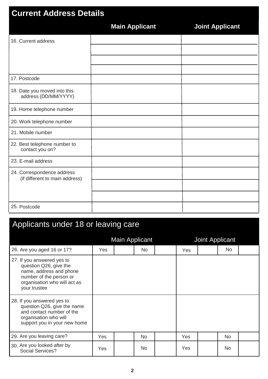| <b>Current Address Details</b>                               |                       |                        |  |  |  |  |  |
|--------------------------------------------------------------|-----------------------|------------------------|--|--|--|--|--|
|                                                              | <b>Main Applicant</b> | <b>Joint Applicant</b> |  |  |  |  |  |
| 16. Current address                                          |                       |                        |  |  |  |  |  |
|                                                              |                       |                        |  |  |  |  |  |
|                                                              |                       |                        |  |  |  |  |  |
| 17. Postcode                                                 |                       |                        |  |  |  |  |  |
| 18. Date you moved into this<br>address (DD/MM/YYYY)         |                       |                        |  |  |  |  |  |
| 19. Home telephone number                                    |                       |                        |  |  |  |  |  |
| 20. Work telephone number                                    |                       |                        |  |  |  |  |  |
| 21. Mobile number                                            |                       |                        |  |  |  |  |  |
| 22. Best telephone number to<br>contact you on?              |                       |                        |  |  |  |  |  |
| 23. E-mail address                                           |                       |                        |  |  |  |  |  |
| 24. Correspondence address<br>(if different to main address) |                       |                        |  |  |  |  |  |
|                                                              |                       |                        |  |  |  |  |  |
|                                                              |                       |                        |  |  |  |  |  |
| 25. Postcode                                                 |                       |                        |  |  |  |  |  |

# Applicants under 18 or leaving care

|                                                                                                                                                            | <b>Main Applicant</b> |  |           | <b>Joint Applicant</b> |            |  |           |  |
|------------------------------------------------------------------------------------------------------------------------------------------------------------|-----------------------|--|-----------|------------------------|------------|--|-----------|--|
| 26. Are you aged 16 or 17?                                                                                                                                 | <b>Yes</b>            |  | No.       |                        | <b>Yes</b> |  | No.       |  |
| 27. If you answered yes to<br>question Q26, give the<br>name, address and phone<br>number of the person or<br>organisation who will act as<br>your trustee |                       |  |           |                        |            |  |           |  |
| 28. If you answered yes to<br>question Q26, give the name<br>and contact number of the<br>organisation who will<br>support you in your new home            |                       |  |           |                        |            |  |           |  |
| 29. Are you leaving care?                                                                                                                                  | <b>Yes</b>            |  | <b>No</b> |                        | Yes        |  | <b>No</b> |  |
| 30. Are you looked after by<br>Social Services?                                                                                                            | Yes                   |  | <b>No</b> |                        | Yes        |  | No.       |  |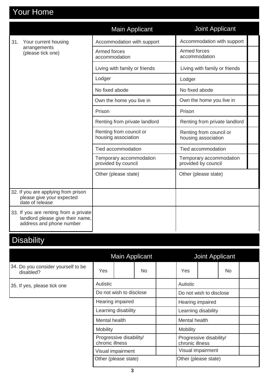# Your Home

|                                                                                                       | <b>Main Applicant</b>                          | Joint Applicant                                |
|-------------------------------------------------------------------------------------------------------|------------------------------------------------|------------------------------------------------|
| Your current housing<br>31.                                                                           | Accommodation with support                     | Accommodation with support                     |
| arrangements<br>(please tick one)                                                                     | Armed forces<br>accommodation                  | Armed forces<br>accommodation                  |
|                                                                                                       | Living with family or friends                  | Living with family or friends                  |
|                                                                                                       | Lodger                                         | Lodger                                         |
|                                                                                                       | No fixed abode                                 | No fixed abode                                 |
|                                                                                                       | Own the home you live in                       | Own the home you live in                       |
|                                                                                                       | Prison                                         | Prison                                         |
|                                                                                                       | Renting from private landlord                  | Renting from private landlord                  |
|                                                                                                       | Renting from council or<br>housing association | Renting from council or<br>housing association |
|                                                                                                       | Tied accommodation                             | Tied accommodation                             |
|                                                                                                       | Temporary accommodation<br>provided by council | Temporary accommodation<br>provided by council |
|                                                                                                       | Other (please state)                           | Other (please state)                           |
| 32. If you are applying from prison<br>please give your expected<br>date of release                   |                                                |                                                |
| 33. If you are renting from a private<br>landlord please give their name,<br>address and phone number |                                                |                                                |

# **Disability**

|                                                 | Main Applicant                             |  |     |                                            | <b>Joint Applicant</b>  |  |     |  |  |
|-------------------------------------------------|--------------------------------------------|--|-----|--------------------------------------------|-------------------------|--|-----|--|--|
| 34. Do you consider yourself to be<br>disabled? | Yes                                        |  | No. |                                            | Yes                     |  | No. |  |  |
| 35. If yes, please tick one                     | <b>Autistic</b>                            |  |     |                                            | Autistic                |  |     |  |  |
|                                                 | Do not wish to disclose                    |  |     |                                            | Do not wish to disclose |  |     |  |  |
|                                                 | Hearing impaired                           |  |     |                                            | Hearing impaired        |  |     |  |  |
|                                                 | Learning disability                        |  |     |                                            | Learning disability     |  |     |  |  |
|                                                 | Mental health                              |  |     |                                            | Mental health           |  |     |  |  |
|                                                 | <b>Mobility</b>                            |  |     | Mobility                                   |                         |  |     |  |  |
|                                                 | Progressive disability/<br>chronic illness |  |     | Progressive disability/<br>chronic illness |                         |  |     |  |  |
|                                                 | Visual impairment                          |  |     | Visual impairment                          |                         |  |     |  |  |
|                                                 | Other (please state)                       |  |     | Other (please state)                       |                         |  |     |  |  |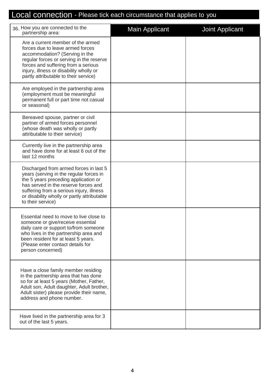### Local connection - Please tick each circumstance that applies to you

| 36. How you are connected to the<br>partnership area:                                                                                                                                                                                                                             | <b>Main Applicant</b> | <b>Joint Applicant</b> |
|-----------------------------------------------------------------------------------------------------------------------------------------------------------------------------------------------------------------------------------------------------------------------------------|-----------------------|------------------------|
| Are a current member of the armed<br>forces due to leave armed forces<br>accommodation? (Serving in the<br>regular forces or serving in the reserve<br>forces and suffering from a serious<br>injury, illness or disability wholly or<br>partly attributable to their service)    |                       |                        |
| Are employed in the partnership area<br>(employment must be meaningful<br>permanent full or part time not casual<br>or seasonal)                                                                                                                                                  |                       |                        |
| Bereaved spouse, partner or civil<br>partner of armed forces personnel<br>(whose death was wholly or partly<br>attributable to their service)                                                                                                                                     |                       |                        |
| Currently live in the partnership area<br>and have done for at least 6 out of the<br>last 12 months                                                                                                                                                                               |                       |                        |
| Discharged from armed forces in last 5<br>years (serving in the regular forces in<br>the 5 years preceding application or<br>has served in the reserve forces and<br>suffering from a serious injury, illness<br>or disability wholly or partly attributable<br>to their service) |                       |                        |
| Essential need to move to live close to<br>someone or give/receive essential<br>daily care or support to/from someone<br>who lives in the partnership area and<br>been resident for at least 5 years.<br>(Please enter contact details for<br>person concerned)                   |                       |                        |
| Have a close family member residing<br>in the partnership area that has done<br>so for at least 5 years (Mother, Father,<br>Adult son, Adult daughter, Adult brother,<br>Adult sister) please provide their name,<br>address and phone number.                                    |                       |                        |
| Have lived in the partnership area for 3<br>out of the last 5 years.                                                                                                                                                                                                              |                       |                        |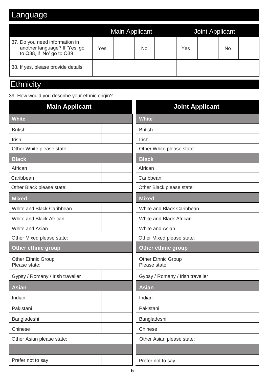### Language

|                                                                                              |     | <b>Main Applicant</b> |    |     | Joint Applicant |    |  |
|----------------------------------------------------------------------------------------------|-----|-----------------------|----|-----|-----------------|----|--|
| 37. Do you need information in<br>another language? If 'Yes' go<br>to Q38, if 'No' go to Q39 | Yes |                       | No | Yes |                 | No |  |
| 38. If yes, please provide details:                                                          |     |                       |    |     |                 |    |  |

### **Ethnicity**

39. How would you describe your ethnic origin?

| <b>Main Applicant</b>                      | <b>Joint Applicant</b>                     |
|--------------------------------------------|--------------------------------------------|
| <b>White</b>                               | <b>White</b>                               |
| <b>British</b>                             | <b>British</b>                             |
| Irish                                      | Irish                                      |
| Other White please state:                  | Other White please state:                  |
| <b>Black</b>                               | <b>Black</b>                               |
| African                                    | African                                    |
| Caribbean                                  | Caribbean                                  |
| Other Black please state:                  | Other Black please state:                  |
| <b>Mixed</b>                               | <b>Mixed</b>                               |
| White and Black Caribbean                  | White and Black Caribbean                  |
| White and Black African                    | White and Black African                    |
| White and Asian                            | White and Asian                            |
| Other Mixed please state:                  | Other Mixed please state:                  |
| <b>Other ethnic group</b>                  | <b>Other ethnic group</b>                  |
| <b>Other Ethnic Group</b><br>Please state: | <b>Other Ethnic Group</b><br>Please state: |
| Gypsy / Romany / Irish traveller           | Gypsy / Romany / Irish traveller           |
| <b>Asian</b>                               | <b>Asian</b>                               |
| Indian                                     | Indian                                     |
| Pakistani                                  | Pakistani                                  |
| Bangladeshi                                | Bangladeshi                                |
| Chinese                                    | Chinese                                    |
| Other Asian please state:                  | Other Asian please state:                  |
|                                            |                                            |
| Prefer not to say                          | Prefer not to say                          |
| 5                                          |                                            |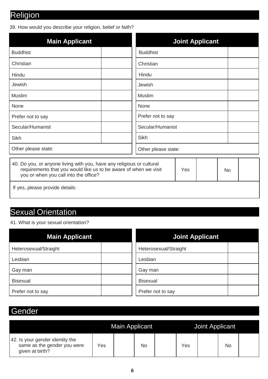### Religion

39. How would you describe your religion, belief or faith?

| <b>Main Applicant</b>                                                                                                                                                              | <b>Joint Applicant</b> |  |  |  |  |
|------------------------------------------------------------------------------------------------------------------------------------------------------------------------------------|------------------------|--|--|--|--|
| <b>Buddhist</b>                                                                                                                                                                    | <b>Buddhist</b>        |  |  |  |  |
| Christian                                                                                                                                                                          | Christian              |  |  |  |  |
| Hindu                                                                                                                                                                              | Hindu                  |  |  |  |  |
| Jewish                                                                                                                                                                             | Jewish                 |  |  |  |  |
| <b>Muslim</b>                                                                                                                                                                      | <b>Muslim</b>          |  |  |  |  |
| None                                                                                                                                                                               | None                   |  |  |  |  |
| Prefer not to say                                                                                                                                                                  | Prefer not to say      |  |  |  |  |
| Secular/Humanist                                                                                                                                                                   | Secular/Humanist       |  |  |  |  |
| <b>Sikh</b>                                                                                                                                                                        | Sikh                   |  |  |  |  |
| Other please state:                                                                                                                                                                | Other please state:    |  |  |  |  |
| 40. Do you, or anyone living with you, have any religious or cultural<br>requirements that you would like us to be aware of when we visit<br>you or when you call into the office? | Yes<br>No              |  |  |  |  |

If yes, please provide details:

#### Sexual Orientation

41. What is your sexual orientation?

| <b>Main Applicant</b> | <b>Joint Applicant</b> |
|-----------------------|------------------------|
| Heterosexual/Straight | Heterosexual/Straight  |
| Lesbian               | Lesbian                |
| Gay man               | Gay man                |
| <b>Bisexual</b>       | <b>Bisexual</b>        |
| Prefer not to say     | Prefer not to say      |

#### Gender

|                                                                                   |     | <b>Main Applicant</b> |    |     | <b>Joint Applicant</b> |    |  |
|-----------------------------------------------------------------------------------|-----|-----------------------|----|-----|------------------------|----|--|
| 42. Is your gender identity the<br>same as the gender you were<br>given at birth? | Yes |                       | No | Yes |                        | No |  |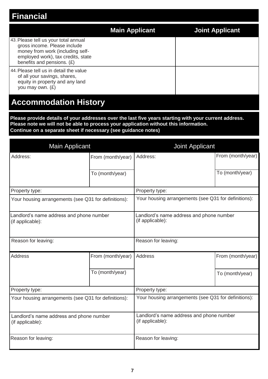### **Financial**

|                                                                                                                                                                              | <b>Main Applicant</b> | Joint Applicant |
|------------------------------------------------------------------------------------------------------------------------------------------------------------------------------|-----------------------|-----------------|
| 43. Please tell us your total annual<br>gross income. Please include<br>money from work (including self-<br>employed work), tax credits, state<br>benefits and pensions. (£) |                       |                 |
| 44. Please tell us in detail the value<br>of all your savings, shares,<br>equity in property and any land<br>you may own. (£)                                                |                       |                 |
| <b>Accommodation History</b>                                                                                                                                                 |                       |                 |

**Please provide details of your addresses over the last five years starting with your current address. Please note we will not be able to process your application without this information. Continue on a separate sheet if necessary (see guidance notes)**

| <b>Main Applicant</b>                                        |                   | <b>Joint Applicant</b>                                       |                   |  |
|--------------------------------------------------------------|-------------------|--------------------------------------------------------------|-------------------|--|
| Address:                                                     | From (month/year) | Address:                                                     | From (month/year) |  |
|                                                              | To (month/year)   |                                                              | To (month/year)   |  |
| Property type:                                               |                   | Property type:                                               |                   |  |
| Your housing arrangements (see Q31 for definitions):         |                   | Your housing arrangements (see Q31 for definitions):         |                   |  |
| Landlord's name address and phone number<br>(if applicable): |                   | Landlord's name address and phone number<br>(if applicable): |                   |  |
| Reason for leaving:                                          |                   | Reason for leaving:                                          |                   |  |
| <b>Address</b>                                               | From (month/year) | Address                                                      | From (month/year) |  |
|                                                              | To (month/year)   |                                                              | To (month/year)   |  |
| Property type:                                               |                   | Property type:                                               |                   |  |
| Your housing arrangements (see Q31 for definitions):         |                   | Your housing arrangements (see Q31 for definitions):         |                   |  |
| Landlord's name address and phone number<br>(if applicable): |                   | Landlord's name address and phone number<br>(if applicable): |                   |  |
| Reason for leaving:                                          |                   | Reason for leaving:                                          |                   |  |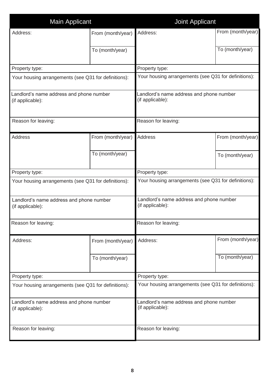| <b>Main Applicant</b>                                        |                   | <b>Joint Applicant</b>                                       |                   |  |  |
|--------------------------------------------------------------|-------------------|--------------------------------------------------------------|-------------------|--|--|
| Address:                                                     | From (month/year) | Address:                                                     | From (month/year) |  |  |
|                                                              | To (month/year)   |                                                              | To (month/year)   |  |  |
| Property type:                                               |                   | Property type:                                               |                   |  |  |
| Your housing arrangements (see Q31 for definitions):         |                   | Your housing arrangements (see Q31 for definitions):         |                   |  |  |
| Landlord's name address and phone number<br>(if applicable): |                   | Landlord's name address and phone number<br>(if applicable): |                   |  |  |
| Reason for leaving:                                          |                   | Reason for leaving:                                          |                   |  |  |
| <b>Address</b>                                               | From (month/year) | <b>Address</b>                                               | From (month/year) |  |  |
|                                                              | To (month/year)   |                                                              | To (month/year)   |  |  |
| Property type:                                               |                   | Property type:                                               |                   |  |  |
| Your housing arrangements (see Q31 for definitions):         |                   | Your housing arrangements (see Q31 for definitions):         |                   |  |  |
| Landlord's name address and phone number<br>(if applicable): |                   | Landlord's name address and phone number<br>(if applicable): |                   |  |  |
| Reason for leaving:                                          |                   | Reason for leaving:                                          |                   |  |  |
| Address:                                                     | From (month/year) | Address:                                                     | From (month/year) |  |  |
|                                                              | To (month/year)   |                                                              | To (month/year)   |  |  |
| Property type:                                               |                   | Property type:                                               |                   |  |  |
| Your housing arrangements (see Q31 for definitions):         |                   | Your housing arrangements (see Q31 for definitions):         |                   |  |  |
| Landlord's name address and phone number<br>(if applicable): |                   | Landlord's name address and phone number<br>(if applicable): |                   |  |  |
| Reason for leaving:                                          |                   | Reason for leaving:                                          |                   |  |  |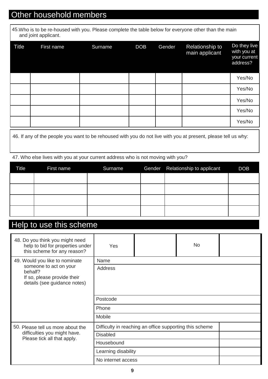### Other household members

45.Who is to be re-housed with you. Please complete the table below for everyone other than the main and joint applicant.

| <b>Title</b> | First name | Surname | <b>DOB</b> | Gender | <b>Relationship to</b><br>main applicant | Do they live<br>with you at<br>your current<br>address? |
|--------------|------------|---------|------------|--------|------------------------------------------|---------------------------------------------------------|
|              |            |         |            |        |                                          | Yes/No                                                  |
|              |            |         |            |        |                                          | Yes/No                                                  |
|              |            |         |            |        |                                          | Yes/No                                                  |
|              |            |         |            |        |                                          | Yes/No                                                  |
|              |            |         |            |        |                                          | Yes/No                                                  |

46. If any of the people you want to be rehoused with you do not live with you at present, please tell us why:

47. Who else lives with you at your current address who is not moving with you?

| <b>Title</b> | First name | Surname | Gender Relationship to applicant | <b>DOB</b> |
|--------------|------------|---------|----------------------------------|------------|
|              |            |         |                                  |            |
|              |            |         |                                  |            |
|              |            |         |                                  |            |
|              |            |         |                                  |            |

#### Help to use this scheme

| 48. Do you think you might need<br>help to bid for properties under<br>this scheme for any reason? | Yes                 |                                                         | <b>No</b> |  |  |  |
|----------------------------------------------------------------------------------------------------|---------------------|---------------------------------------------------------|-----------|--|--|--|
| 49. Would you like to nominate                                                                     | Name                |                                                         |           |  |  |  |
| someone to act on your<br>behalf?<br>If so, please provide their<br>details (see guidance notes)   | <b>Address</b>      |                                                         |           |  |  |  |
|                                                                                                    | Postcode            |                                                         |           |  |  |  |
|                                                                                                    | Phone               |                                                         |           |  |  |  |
|                                                                                                    | Mobile              |                                                         |           |  |  |  |
| 50. Please tell us more about the                                                                  |                     | Difficulty in reaching an office supporting this scheme |           |  |  |  |
| difficulties you might have.<br>Please tick all that apply.                                        | <b>Disabled</b>     |                                                         |           |  |  |  |
|                                                                                                    | Housebound          |                                                         |           |  |  |  |
|                                                                                                    | Learning disability |                                                         |           |  |  |  |
|                                                                                                    | No internet access  |                                                         |           |  |  |  |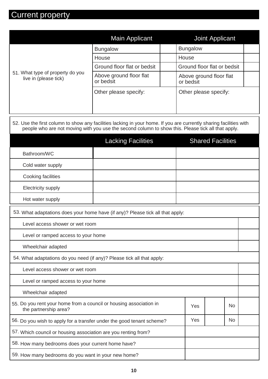## Current property

|                                                           | <b>Main Applicant</b>                | <b>Joint Applicant</b>               |
|-----------------------------------------------------------|--------------------------------------|--------------------------------------|
| 51. What type of property do you<br>live in (please tick) | <b>Bungalow</b>                      | <b>Bungalow</b>                      |
|                                                           | House                                | House                                |
|                                                           | Ground floor flat or bedsit          | Ground floor flat or bedsit          |
|                                                           | Above ground floor flat<br>or bedsit | Above ground floor flat<br>or bedsit |
|                                                           | Other please specify:                | Other please specify:                |

| 52. Use the first column to show any facilities lacking in your home. If you are currently sharing facilities with |  |
|--------------------------------------------------------------------------------------------------------------------|--|
| people who are not moving with you use the second column to show this. Please tick all that apply.                 |  |
|                                                                                                                    |  |

|                                                                                             | <b>Lacking Facilities</b> |     | <b>Shared Facilities</b> |  |  |
|---------------------------------------------------------------------------------------------|---------------------------|-----|--------------------------|--|--|
| Bathroom/WC                                                                                 |                           |     |                          |  |  |
| Cold water supply                                                                           |                           |     |                          |  |  |
| Cooking facilities                                                                          |                           |     |                          |  |  |
| Electricity supply                                                                          |                           |     |                          |  |  |
| Hot water supply                                                                            |                           |     |                          |  |  |
| 53. What adaptations does your home have (if any)? Please tick all that apply:              |                           |     |                          |  |  |
| Level access shower or wet room                                                             |                           |     |                          |  |  |
| Level or ramped access to your home                                                         |                           |     |                          |  |  |
| Wheelchair adapted                                                                          |                           |     |                          |  |  |
| 54. What adaptations do you need (if any)? Please tick all that apply:                      |                           |     |                          |  |  |
| Level access shower or wet room                                                             |                           |     |                          |  |  |
| Level or ramped access to your home                                                         |                           |     |                          |  |  |
| Wheelchair adapted                                                                          |                           |     |                          |  |  |
| 55. Do you rent your home from a council or housing association in<br>the partnership area? |                           | Yes | <b>No</b>                |  |  |
| Yes<br>56. Do you wish to apply for a transfer under the good tenant scheme?                |                           |     | N <sub>o</sub>           |  |  |
| 57. Which council or housing association are you renting from?                              |                           |     |                          |  |  |
| 58. How many bedrooms does your current home have?                                          |                           |     |                          |  |  |
| 59. How many bedrooms do you want in your new home?                                         |                           |     |                          |  |  |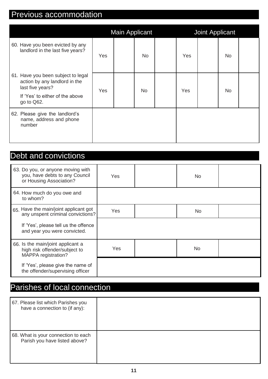### Previous accommodation

|                                                                                                                                          |     | <b>Main Applicant</b> |           |     | <b>Joint Applicant</b> |           |  |
|------------------------------------------------------------------------------------------------------------------------------------------|-----|-----------------------|-----------|-----|------------------------|-----------|--|
| 60. Have you been evicted by any<br>landlord in the last five years?                                                                     | Yes |                       | <b>No</b> | Yes |                        | <b>No</b> |  |
| 61. Have you been subject to legal<br>action by any landlord in the<br>last five years?<br>If 'Yes' to either of the above<br>go to Q62. | Yes |                       | <b>No</b> | Yes |                        | <b>No</b> |  |
| 62. Please give the landlord's<br>name, address and phone<br>number                                                                      |     |                       |           |     |                        |           |  |

### Debt and convictions

| 63. Do you, or anyone moving with<br>you, have debts to any Council<br>or Housing Association? | Yes | <b>No</b> |  |
|------------------------------------------------------------------------------------------------|-----|-----------|--|
| 64. How much do you owe and<br>to whom?                                                        |     |           |  |
| 65. Have the main/joint applicant got<br>any unspent criminal convictions?                     | Yes | No.       |  |
| If 'Yes', please tell us the offence<br>and year you were convicted.                           |     |           |  |
| 66. Is the main/joint applicant a<br>high risk offender/subject to<br>MAPPA registration?      | Yes | <b>No</b> |  |
| If 'Yes', please give the name of<br>the offender/supervising officer                          |     |           |  |

### Parishes of local connection

| 67. Please list which Parishes you<br>have a connection to (if any): |  |
|----------------------------------------------------------------------|--|
| 68. What is your connection to each<br>Parish you have listed above? |  |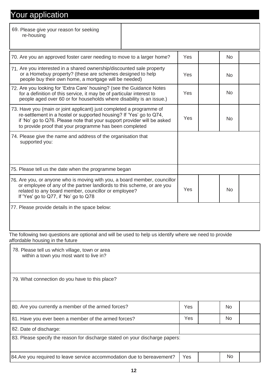### Your application

| 69. Please give your reason for seeking<br>re-housing                                                                                                                                                                                                                             |     |           |
|-----------------------------------------------------------------------------------------------------------------------------------------------------------------------------------------------------------------------------------------------------------------------------------|-----|-----------|
| 70. Are you an approved foster carer needing to move to a larger home?                                                                                                                                                                                                            | Yes | <b>No</b> |
| 71. Are you interested in a shared ownership/discounted sale property<br>or a Homebuy property? (these are schemes designed to help<br>people buy their own home, a mortgage will be needed)                                                                                      | Yes | <b>No</b> |
| 72. Are you looking for 'Extra Care' housing? (see the Guidance Notes<br>for a definition of this service, it may be of particular interest to<br>people aged over 60 or for households where disability is an issue.)                                                            | Yes | <b>No</b> |
| 73. Have you (main or joint applicant) just completed a programme of<br>re-settlement in a hostel or supported housing? If 'Yes' go to Q74,<br>if 'No' go to Q76. Please note that your support provider will be asked<br>to provide proof that your programme has been completed | Yes | <b>No</b> |
| 74. Please give the name and address of the organisation that<br>supported you:                                                                                                                                                                                                   |     |           |
| 75. Please tell us the date when the programme began                                                                                                                                                                                                                              |     |           |
| 76. Are you, or anyone who is moving with you, a board member, councillor<br>or employee of any of the partner landlords to this scheme, or are you<br>related to any board member, councillor or employee?<br>If 'Yes' go to Q77, if 'No' go to Q78                              | Yes | <b>No</b> |
| 77. Please provide details in the space below:                                                                                                                                                                                                                                    |     |           |
| The following two questions are optional and will be used to help us identify where we need to provide                                                                                                                                                                            |     |           |

affordable housing in the future

| 78. Please tell us which village, town or area<br>within a town you most want to live in? |     |  |           |  |  |
|-------------------------------------------------------------------------------------------|-----|--|-----------|--|--|
| 79. What connection do you have to this place?                                            |     |  |           |  |  |
| 80. Are you currently a member of the armed forces?                                       | Yes |  | <b>No</b> |  |  |
| 81. Have you ever been a member of the armed forces?                                      | Yes |  | <b>No</b> |  |  |
| 82. Date of discharge:                                                                    |     |  |           |  |  |
| 83. Please specify the reason for discharge stated on your discharge papers:              |     |  |           |  |  |
| 84. Are you required to leave service accommodation due to bereavement?                   | Yes |  | <b>No</b> |  |  |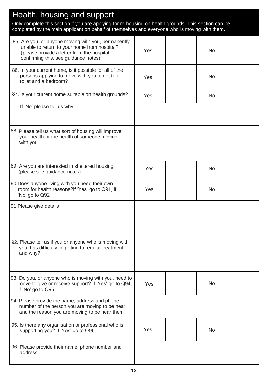| Health, housing and support                                                                                                                                                                           |     |  |           |  |  |  |
|-------------------------------------------------------------------------------------------------------------------------------------------------------------------------------------------------------|-----|--|-----------|--|--|--|
| Only complete this section if you are applying for re-housing on health grounds. This section can be<br>completed by the main applicant on behalf of themselves and everyone who is moving with them. |     |  |           |  |  |  |
| 85. Are you, or anyone moving with you, permanently<br>unable to return to your home from hospital?<br>(please provide a letter from the hospital<br>confirming this, see guidance notes)             | Yes |  | <b>No</b> |  |  |  |
| 86. In your current home, is it possible for all of the<br>persons applying to move with you to get to a<br>toilet and a bedroom?                                                                     | Yes |  | <b>No</b> |  |  |  |
| 87. Is your current home suitable on health grounds?                                                                                                                                                  | Yes |  | No        |  |  |  |
| If 'No' please tell us why:                                                                                                                                                                           |     |  |           |  |  |  |
| 88. Please tell us what sort of housing will improve<br>your health or the health of someone moving<br>with you                                                                                       |     |  |           |  |  |  |
| 89. Are you are interested in sheltered housing<br>(please see guidance notes)                                                                                                                        | Yes |  | <b>No</b> |  |  |  |
| 90. Does anyone living with you need their own<br>room for health reasons?If 'Yes' go to Q91, if<br>'No' go to Q92                                                                                    | Yes |  | <b>No</b> |  |  |  |
| 91. Please give details                                                                                                                                                                               |     |  |           |  |  |  |
| 92. Please tell us if you or anyone who is moving with<br>you, has difficulty in getting to regular treatment<br>and why?                                                                             |     |  |           |  |  |  |
| 93. Do you, or anyone who is moving with you, need to<br>move to give or receive support? If 'Yes' go to Q94,<br>if 'No' go to Q95                                                                    | Yes |  | <b>No</b> |  |  |  |
| 94. Please provide the name, address and phone<br>number of the person you are moving to be near<br>and the reason you are moving to be near them                                                     |     |  |           |  |  |  |
| 95. Is there any organisation or professional who is<br>supporting you? If 'Yes' go to Q96                                                                                                            | Yes |  | <b>No</b> |  |  |  |
| 96. Please provide their name, phone number and<br>address                                                                                                                                            |     |  |           |  |  |  |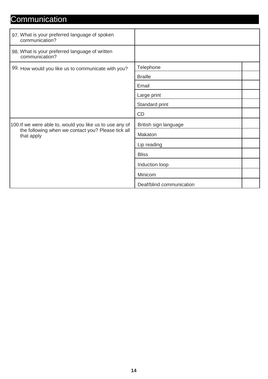### **Communication**

| 97. What is your preferred language of spoken<br>communication?                                                              |                          |
|------------------------------------------------------------------------------------------------------------------------------|--------------------------|
| 98. What is your preferred language of written<br>communication?                                                             |                          |
| 99. How would you like us to communicate with you?                                                                           | Telephone                |
|                                                                                                                              | <b>Braille</b>           |
|                                                                                                                              | Email                    |
|                                                                                                                              | Large print              |
|                                                                                                                              | Standard print           |
|                                                                                                                              | CD                       |
| 100. If we were able to, would you like us to use any of<br>the following when we contact you? Please tick all<br>that apply | British sign language    |
|                                                                                                                              | Makaton                  |
|                                                                                                                              | Lip reading              |
|                                                                                                                              | <b>Bliss</b>             |
|                                                                                                                              | Induction loop           |
|                                                                                                                              | Minicom                  |
|                                                                                                                              | Deaf/blind communication |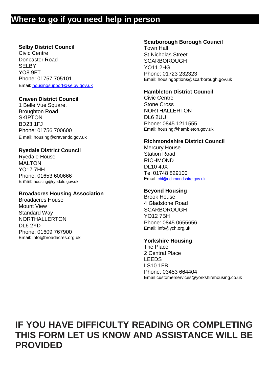#### **Where to go if you need help in person**

#### **Selby District Council**

Civic Centre Doncaster Road SELBY YO8 9FT Phone: 01757 705101 Email: [housingsupport@selby.gov.uk](mailto:housingsupport@selby.gov.uk)

#### **Craven District Council**

1 Belle Vue Square, Broughton Road **SKIPTON** BD23 1FJ Phone: 01756 700600 E m[ail: housing@cravendc.gov.uk](mailto:housing@cravendc.gov.uk)

#### **Ryedale District Council**

Ryedale House MAI TON YO17 7HH Phone: 01653 600666 E mail: [housing@ryedale.gov.uk](mailto:housing@ryedale.gov.uk)

#### **Broadacres Housing Association**

Broadacres House Mount View Standard Way NORTHALLERTON DL6 2YD Phone: 01609 767900 Email: [info@broadacres.org.uk](mailto:info@broadacres.org.uk)

#### **Scarborough Borough Council**

Town Hall St Nicholas Street **SCARBOROUGH** YO11 2HG Phone: 01723 232323 Email: [housingoptions@scarborough.gov.uk](mailto:housingoptions@scarborough.gov.uk)

#### **Hambleton District Council**

Civic Centre Stone Cross NORTHALLERTON DL6 2UU Phone: 0845 1211555 Email: [housing@hambleton.gov.uk](mailto:housing@hambleton.gov.uk)

#### **Richmondshire District Council**

Mercury House Station Road RICHMOND DL10 4JX Tel 01748 829100 Email: [cbl@richmondshire.gov.uk](mailto:cbl@richmondshire.gov.uk)

#### **Beyond Housing**

Brook House 4 Gladstone Road **SCARBOROUGH** YO12 7BH Phone: 0845 0655656 Email: [info@ych.org.uk](mailto:info@ych.org.uk)

#### **Yorkshire Housing**

The Place 2 Central Place LEEDS LS10 1FB Phone: 03453 664404 Email [customerservices@yorkshirehousing.co.uk](mailto:customerservices@yorkshirehousing.co.uk)

### **IF YOU HAVE DIFFICULTY READING OR COMPLETING THIS FORM LET US KNOW AND ASSISTANCE WILL BE PROVIDED**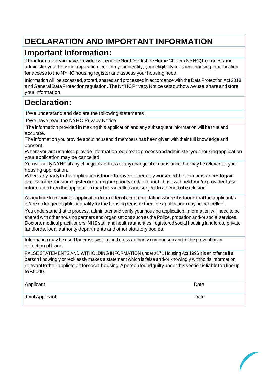### **DECLARATION AND IMPORTANT INFORMATION**

#### **Important Information:**

The information you have provided will enable North Yorkshire Home Choice (NYHC) to process and administer your housing application, confirm your identity, your eligibility for social housing, qualification for access to the NYHC housing register and assess your housing need.

Information will be accessed, stored, shared and processed in accordance with the Data Protection Act 2018 andGeneralDataProtectionregulation. TheNYHCPrivacyNoticesetsouthowweuse,shareandstore your information

#### **Declaration:**

I/We understand and declare the following statements ;

I/We have read the NYHC Privacy Notice.

The information provided in making this application and any subsequent information will be true and accurate.

The information you provide about household members has been given with their full knowledge and consent.

Whereyouareunabletoprovideinformationrequiredtoprocessandadministeryourhousingapplication your application may be cancelled.

You will notify NYHC of any change of address or any change of circumstance that may be relevant to your housing application.

Whereanypartytothisapplicationisfoundtohavedeliberatelyworsenedtheircircumstancestogain accesstothehousingregisterorgainhigherpriorityand/orfoundtohavewithheldand/orprovidedfalse information then the application may be cancelled and subject to a period of exclusion

At any time from point of application to an offer of accommodation where it is found that the applicant/s is/are no longer eligible or qualify for the housing register then the application may be cancelled.

You understand that to process, administer and verify your housing application, information will need to be shared with other housing partners and organisations such as the Police, probation and/or social services, Doctors, medical practitioners, NHSstaff and health authorities, registered social housing landlords, private landlords, local authority departments and other statutory bodies.

Information may be used for cross system and cross authority comparison and in the prevention or detection of fraud.

FALSE STATEMENTS AND WITHOLDING INFORMATION under s171 Housing Act 1996 it is an offence if a person knowingly or recklessly makes a statement which is false and/or knowingly withholds information relevanttotheirapplicationforsocialhousing.Apersonfoundguiltyunderthissectionisliabletoafineup to £5000.

Applicant Date **Date of Applicant** Date of Applicant Date of Applicant Date of Applicant Date of Applicant Date of Applicant Date of Applicant Date of Applicant Date of Applicant Date of Applicant Date of Applicant Date of **Joint Applicant** Date **Date**